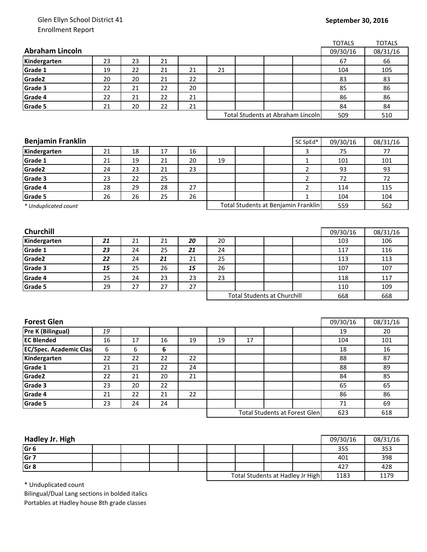## Glen Ellyn School District 41 Enrollment Report

## **September 30, 2016**

|                                        |    |    |    |    |    |    |                                      |                | <b>TOTALS</b> | <b>TOTALS</b> |
|----------------------------------------|----|----|----|----|----|----|--------------------------------------|----------------|---------------|---------------|
| <b>Abraham Lincoln</b>                 |    |    |    |    |    |    |                                      |                | 09/30/16      | 08/31/16      |
| Kindergarten                           | 23 | 23 | 21 |    |    |    |                                      |                | 67            | 66            |
| Grade 1                                | 19 | 22 | 21 | 21 | 21 |    |                                      |                | 104           | 105           |
| Grade2                                 | 20 | 20 | 21 | 22 |    |    |                                      |                | 83            | 83            |
| Grade 3                                | 22 | 21 | 22 | 20 |    |    |                                      |                | 85            | 86            |
| Grade 4                                | 22 | 21 | 22 | 21 |    |    |                                      |                | 86            | 86            |
| Grade 5                                | 21 | 20 | 22 | 21 |    |    |                                      |                | 84            | 84            |
|                                        |    |    |    |    |    |    | Total Students at Abraham Lincoln    |                | 509           | 510           |
|                                        |    |    |    |    |    |    |                                      |                |               |               |
|                                        |    |    |    |    |    |    |                                      |                |               |               |
| <b>Benjamin Franklin</b>               |    |    |    |    |    |    |                                      | SC SpEd*       | 09/30/16      | 08/31/16      |
| Kindergarten                           | 21 | 18 | 17 | 16 |    |    |                                      | 3              | 75            | 77            |
| Grade 1                                | 21 | 19 | 21 | 20 | 19 |    |                                      | $\mathbf{1}$   | 101           | 101           |
| Grade2                                 | 24 | 23 | 21 | 23 |    |    |                                      | $\overline{2}$ | 93            | 93            |
| Grade 3                                | 23 | 22 | 25 |    |    |    |                                      | $\overline{2}$ | 72            | 72            |
| Grade 4                                | 28 | 29 | 28 | 27 |    |    |                                      | $\overline{2}$ | 114           | 115           |
| Grade 5                                | 26 | 26 | 25 | 26 |    |    |                                      | $\mathbf{1}$   | 104           | 104           |
| * Unduplicated count                   |    |    |    |    |    |    | Total Students at Benjamin Franklin  |                | 559           | 562           |
|                                        |    |    |    |    |    |    |                                      |                |               |               |
|                                        |    |    |    |    |    |    |                                      |                |               |               |
| Churchill                              |    |    |    |    |    |    |                                      |                | 09/30/16      | 08/31/16      |
| Kindergarten                           | 21 | 21 | 21 | 20 | 20 |    |                                      |                | 103           | 106           |
| Grade 1                                | 23 | 24 | 25 | 21 | 24 |    |                                      |                | 117           | 116           |
| Grade2                                 | 22 | 24 | 21 | 21 | 25 |    |                                      |                | 113           | 113           |
| Grade 3                                | 15 | 25 | 26 | 15 | 26 |    |                                      |                | 107           | 107           |
| Grade 4                                | 25 | 24 | 23 | 23 | 23 |    |                                      |                | 118           | 117           |
| Grade 5                                | 29 | 27 | 27 | 27 |    |    |                                      |                | 110           | 109           |
|                                        |    |    |    |    |    |    | <b>Total Students at Churchill</b>   |                | 668           | 668           |
|                                        |    |    |    |    |    |    |                                      |                |               |               |
|                                        |    |    |    |    |    |    |                                      |                |               |               |
| <b>Forest Glen</b>                     |    |    |    |    |    |    |                                      |                | 09/30/16      | 08/31/16      |
| Pre K (Bilingual)<br><b>EC Blended</b> | 19 |    |    |    |    |    |                                      |                | 19            | 20            |
|                                        | 16 | 17 | 16 | 19 | 19 | 17 |                                      |                | 104           | 101           |
| <b>EC/Spec. Academic Clas</b>          | 6  | 6  | 6  |    |    |    |                                      |                | 18            | 16            |
| Kindergarten                           | 22 | 22 | 22 | 22 |    |    |                                      |                | 88            | 87            |
| Grade 1                                | 21 | 21 | 22 | 24 |    |    |                                      |                | 88            | 89            |
| Grade2                                 | 22 | 21 | 20 | 21 |    |    |                                      |                | 84            | 85            |
| Grade 3                                | 23 | 20 | 22 |    |    |    |                                      |                | 65            | 65            |
| Grade 4                                | 21 | 22 | 21 | 22 |    |    |                                      |                | 86            | 86            |
| Grade 5                                | 23 | 24 | 24 |    |    |    |                                      |                | 71            | 69            |
|                                        |    |    |    |    |    |    | <b>Total Students at Forest Glen</b> |                | 623           | 618           |
|                                        |    |    |    |    |    |    |                                      |                |               |               |

| Hadley Jr. High |  |  |                                  |  |  |      | 09/30/16 | 08/31/16 |
|-----------------|--|--|----------------------------------|--|--|------|----------|----------|
| Gr <sub>6</sub> |  |  |                                  |  |  |      | 355      | 353      |
| Gr <sub>7</sub> |  |  |                                  |  |  |      | 401      | 398      |
| Gr <sub>8</sub> |  |  |                                  |  |  |      | 427      | 428      |
|                 |  |  | Total Students at Hadley Jr High |  |  | 1183 | 1179     |          |

\* Unduplicated count

Bilingual/Dual Lang sections in bolded italics Portables at Hadley house 8th grade classes